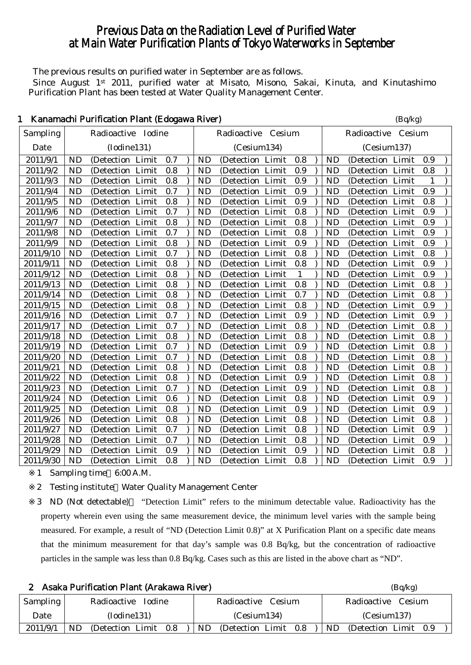# Previous Data on the Radiation Level of Purified Water at Main Water Purification Plants of Tokyo Waterworks in September

The previous results on purified water in September are as follows. Since August 1<sup>st</sup> 2011, purified water at Misato, Misono, Sakai, Kinuta, and Kinutashimo Purification Plant has been tested at Water Quality Management Center.

|           |           | Kanamachi I urmcación i failt (Euogawa Kiver) |  |     |  |           |                   |        |              |           | $(\mathbf{D}\mathbf{y} \mathbf{R})$ |  |     |  |
|-----------|-----------|-----------------------------------------------|--|-----|--|-----------|-------------------|--------|--------------|-----------|-------------------------------------|--|-----|--|
| Sampling  |           | Radioactive Iodine                            |  |     |  |           | Radioactive       | Cesium |              |           | Radioactive Cesium                  |  |     |  |
| Date      |           | (Iodine131)                                   |  |     |  |           | (Cesium134)       |        |              |           | (Cesium137)                         |  |     |  |
| 2011/9/1  | <b>ND</b> | (Detection Limit                              |  | 0.7 |  | <b>ND</b> | (Detection Limit  |        | 0.8          | <b>ND</b> | (Detection Limit                    |  | 0.9 |  |
| 2011/9/2  | <b>ND</b> | (Detection Limit                              |  | 0.8 |  | <b>ND</b> | (Detection Limit  |        | 0.9          | <b>ND</b> | (Detection Limit                    |  | 0.8 |  |
| 2011/9/3  | <b>ND</b> | (Detection Limit                              |  | 0.8 |  | <b>ND</b> | (Detection Limit  |        | 0.9          | <b>ND</b> | (Detection Limit                    |  | 1   |  |
| 2011/9/4  | <b>ND</b> | (Detection Limit                              |  | 0.7 |  | <b>ND</b> | (Detection Limit  |        | 0.9          | <b>ND</b> | (Detection Limit                    |  | 0.9 |  |
| 2011/9/5  | <b>ND</b> | (Detection Limit                              |  | 0.8 |  | <b>ND</b> | (Detection Limit  |        | 0.9          | <b>ND</b> | (Detection Limit                    |  | 0.8 |  |
| 2011/9/6  | <b>ND</b> | (Detection Limit                              |  | 0.7 |  | <b>ND</b> | (Detection Limit  |        | 0.8          | <b>ND</b> | (Detection Limit                    |  | 0.9 |  |
| 2011/9/7  | <b>ND</b> | (Detection Limit                              |  | 0.8 |  | <b>ND</b> | (Detection Limit  |        | 0.8          | <b>ND</b> | (Detection Limit                    |  | 0.9 |  |
| 2011/9/8  | <b>ND</b> | (Detection Limit                              |  | 0.7 |  | <b>ND</b> | (Detection Limit  |        | 0.8          | <b>ND</b> | (Detection Limit                    |  | 0.9 |  |
| 2011/9/9  | <b>ND</b> | (Detection Limit                              |  | 0.8 |  | <b>ND</b> | (Detection Limit  |        | 0.9          | <b>ND</b> | (Detection Limit                    |  | 0.9 |  |
| 2011/9/10 | <b>ND</b> | (Detection Limit                              |  | 0.7 |  | <b>ND</b> | (Detection Limit  |        | 0.8          | <b>ND</b> | (Detection Limit                    |  | 0.8 |  |
| 2011/9/11 | <b>ND</b> | (Detection Limit                              |  | 0.8 |  | <b>ND</b> | (Detection Limit  |        | 0.8          | <b>ND</b> | (Detection Limit                    |  | 0.9 |  |
| 2011/9/12 | <b>ND</b> | (Detection Limit                              |  | 0.8 |  | <b>ND</b> | (Detection Limit  |        | $\mathbf{1}$ | <b>ND</b> | (Detection Limit                    |  | 0.9 |  |
| 2011/9/13 | <b>ND</b> | (Detection Limit                              |  | 0.8 |  | <b>ND</b> | (Detection Limit  |        | 0.8          | <b>ND</b> | (Detection Limit                    |  | 0.8 |  |
| 2011/9/14 | <b>ND</b> | (Detection Limit                              |  | 0.8 |  | <b>ND</b> | (Detection Limit  |        | 0.7          | <b>ND</b> | (Detection Limit                    |  | 0.8 |  |
| 2011/9/15 | <b>ND</b> | (Detection Limit                              |  | 0.8 |  | <b>ND</b> | (Detection Limit  |        | 0.8          | <b>ND</b> | (Detection Limit                    |  | 0.9 |  |
| 2011/9/16 | <b>ND</b> | (Detection Limit                              |  | 0.7 |  | <b>ND</b> | (Detection Limit  |        | 0.9          | <b>ND</b> | (Detection Limit                    |  | 0.9 |  |
| 2011/9/17 | <b>ND</b> | (Detection Limit                              |  | 0.7 |  | <b>ND</b> | (Detection Limit  |        | 0.8          | <b>ND</b> | (Detection Limit                    |  | 0.8 |  |
| 2011/9/18 | <b>ND</b> | (Detection Limit                              |  | 0.8 |  | <b>ND</b> | (Detection Limit  |        | 0.8          | <b>ND</b> | (Detection Limit                    |  | 0.8 |  |
| 2011/9/19 | <b>ND</b> | (Detection Limit                              |  | 0.7 |  | <b>ND</b> | (Detection Limit  |        | 0.9          | <b>ND</b> | (Detection Limit                    |  | 0.8 |  |
| 2011/9/20 | <b>ND</b> | (Detection Limit                              |  | 0.7 |  | <b>ND</b> | (Detection Limit  |        | 0.8          | <b>ND</b> | (Detection Limit                    |  | 0.8 |  |
| 2011/9/21 | <b>ND</b> | (Detection Limit                              |  | 0.8 |  | <b>ND</b> | (Detection Limit  |        | 0.8          | <b>ND</b> | (Detection Limit                    |  | 0.8 |  |
| 2011/9/22 | <b>ND</b> | (Detection Limit                              |  | 0.8 |  | <b>ND</b> | (Detection Limit  |        | 0.9          | <b>ND</b> | (Detection Limit                    |  | 0.8 |  |
| 2011/9/23 | <b>ND</b> | (Detection Limit                              |  | 0.7 |  | <b>ND</b> | (Detection Limit  |        | 0.9          | <b>ND</b> | (Detection Limit                    |  | 0.8 |  |
| 2011/9/24 | <b>ND</b> | (Detection Limit                              |  | 0.6 |  | <b>ND</b> | (Detection Limit  |        | 0.8          | <b>ND</b> | (Detection Limit                    |  | 0.9 |  |
| 2011/9/25 | <b>ND</b> | (Detection Limit                              |  | 0.8 |  | <b>ND</b> | (Detection Limit  |        | 0.9          | <b>ND</b> | (Detection Limit                    |  | 0.9 |  |
| 2011/9/26 | <b>ND</b> | (Detection Limit                              |  | 0.8 |  | <b>ND</b> | (Detection Limit  |        | 0.8          | <b>ND</b> | (Detection Limit                    |  | 0.8 |  |
| 2011/9/27 | <b>ND</b> | (Detection Limit                              |  | 0.7 |  | <b>ND</b> | (Detection Limit  |        | 0.8          | <b>ND</b> | (Detection Limit                    |  | 0.9 |  |
| 2011/9/28 | <b>ND</b> | (Detection Limit                              |  | 0.7 |  | <b>ND</b> | (Detection Limit  |        | 0.8          | <b>ND</b> | (Detection Limit                    |  | 0.9 |  |
| 2011/9/29 | <b>ND</b> | (Detection Limit                              |  | 0.9 |  | <b>ND</b> | (Detection Limit  |        | 0.9          | <b>ND</b> | (Detection Limit                    |  | 0.8 |  |
| 2011/9/30 | ND        | (Detection Limit                              |  | 0.8 |  | <b>ND</b> | (Detection Limit) |        | 0.8          | <b>ND</b> | (Detection Limit                    |  | 0.9 |  |

# 1 Kanamachi Purification Plant (Edogawa River) (Bq/kg)

1 Sampling time 6:00 A.M.

2 Testing institute Water Quality Management Center

3 ND (Not detectable) "Detection Limit" refers to the minimum detectable value. Radioactivity has the property wherein even using the same measurement device, the minimum level varies with the sample being measured. For example, a result of "ND (Detection Limit 0.8)" at X Purification Plant on a specific date means that the minimum measurement for that day's sample was 0.8 Bq/kg, but the concentration of radioactive particles in the sample was less than 0.8 Bq/kg. Cases such as this are listed in the above chart as "ND".

|          | Asaka Purification Plant (Arakawa River) |                                       | (Bq/kg)                      |
|----------|------------------------------------------|---------------------------------------|------------------------------|
| Sampling | Radioactive Iodine                       | Radioactive Cesium                    | Radioactive Cesium           |
| Date     | (Iodine131)                              | (Cesium134)                           | (Cesium137)                  |
| 2011/9/1 | ND.<br>(Detection Limit)<br>0.8          | <b>ND</b><br>(Detection Limit)<br>0.8 | ND.<br>(Detection Limit 0.9) |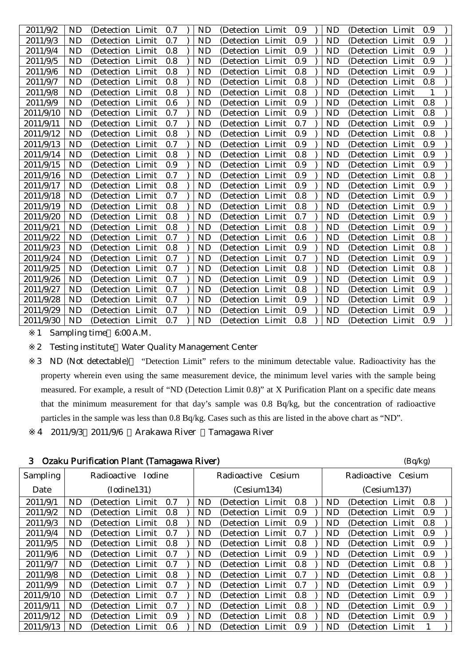| 2011/9/2  | ND        | (Detection Limit  |       | 0.7 | <b>ND</b> | (Detection Limit) |       | 0.9 | ND        | (Detection Limit  | 0.9 |  |
|-----------|-----------|-------------------|-------|-----|-----------|-------------------|-------|-----|-----------|-------------------|-----|--|
| 2011/9/3  | ND        | (Detection Limit  |       | 0.7 | ND        | (Detection Limit  |       | 0.9 | ND        | (Detection Limit  | 0.9 |  |
| 2011/9/4  | <b>ND</b> | (Detection Limit  |       | 0.8 | ND        | (Detection Limit) |       | 0.9 | ND        | (Detection Limit  | 0.9 |  |
| 2011/9/5  | <b>ND</b> | (Detection Limit  |       | 0.8 | <b>ND</b> | (Detection Limit  |       | 0.9 | <b>ND</b> | (Detection Limit  | 0.9 |  |
| 2011/9/6  | <b>ND</b> | (Detection Limit  |       | 0.8 | <b>ND</b> | (Detection Limit) |       | 0.8 | <b>ND</b> | (Detection Limit  | 0.9 |  |
| 2011/9/7  | ND        | (Detection Limit  |       | 0.8 | ND        | (Detection)       | Limit | 0.8 | ND        | (Detection Limit  | 0.8 |  |
| 2011/9/8  | ND        | (Detection Limit  |       | 0.8 | ND        | (Detection Limit) |       | 0.8 | ND        | (Detection Limit) | 1   |  |
| 2011/9/9  | <b>ND</b> | (Detection Limit  |       | 0.6 | ND        | (Detection Limit) |       | 0.9 | ND        | (Detection Limit) | 0.8 |  |
| 2011/9/10 | <b>ND</b> | (Detection Limit  |       | 0.7 | <b>ND</b> | (Detection Limit  |       | 0.9 | ND        | (Detection Limit) | 0.8 |  |
| 2011/9/11 | <b>ND</b> | (Detection Limit  |       | 0.7 | ND        | (Detection)       | Limit | 0.7 | ND        | (Detection Limit  | 0.9 |  |
| 2011/9/12 | <b>ND</b> | (Detection Limit  |       | 0.8 | <b>ND</b> | (Detection)       | Limit | 0.9 | ND        | (Detection Limit  | 0.8 |  |
| 2011/9/13 | <b>ND</b> | (Detection Limit  |       | 0.7 | <b>ND</b> | (Detection Limit  |       | 0.9 | <b>ND</b> | (Detection Limit) | 0.9 |  |
| 2011/9/14 | <b>ND</b> | (Detection Limit  |       | 0.8 | <b>ND</b> | (Detection)       | Limit | 0.8 | <b>ND</b> | (Detection Limit  | 0.9 |  |
| 2011/9/15 | <b>ND</b> | (Detection Limit) |       | 0.9 | <b>ND</b> | (Detection Limit) |       | 0.9 | ND        | (Detection Limit) | 0.9 |  |
| 2011/9/16 | ND        | (Detection Limit) |       | 0.7 | ND        | (Detection Limit) |       | 0.9 | ND        | (Detection Limit  | 0.8 |  |
| 2011/9/17 | ND        | (Detection Limit  |       | 0.8 | ND        | (Detection Limit  |       | 0.9 | ND        | (Detection Limit) | 0.9 |  |
| 2011/9/18 | <b>ND</b> | (Detection Limit  |       | 0.7 | ND        | (Detection Limit  |       | 0.8 | ND        | (Detection Limit  | 0.9 |  |
| 2011/9/19 | <b>ND</b> | (Detection Limit  |       | 0.8 | <b>ND</b> | (Detection Limit  |       | 0.8 | <b>ND</b> | (Detection Limit  | 0.9 |  |
| 2011/9/20 | <b>ND</b> | (Detection Limit  |       | 0.8 | ND        | (Detection Limit  |       | 0.7 | ND        | (Detection Limit  | 0.9 |  |
| 2011/9/21 | <b>ND</b> | (Detection)       | Limit | 0.8 | <b>ND</b> | (Detection        | Limit | 0.8 | <b>ND</b> | (Detection Limit  | 0.9 |  |
| 2011/9/22 | ND        | (Detection Limit  |       | 0.7 | ND        | (Detection Limit  |       | 0.6 | ND        | (Detection Limit  | 0.8 |  |
| 2011/9/23 | <b>ND</b> | (Detection Limit) |       | 0.8 | ND        | (Detection Limit) |       | 0.9 | ND        | (Detection Limit) | 0.8 |  |
| 2011/9/24 | <b>ND</b> | (Detection Limit) |       | 0.7 | <b>ND</b> | (Detection Limit) |       | 0.7 | ND        | (Detection Limit) | 0.9 |  |
| 2011/9/25 | ND        | (Detection Limit  |       | 0.7 | ND        | (Detection Limit) |       | 0.8 | ND        | (Detection Limit) | 0.8 |  |
| 2011/9/26 | <b>ND</b> | (Detection Limit  |       | 0.7 | <b>ND</b> | (Detection Limit) |       | 0.9 | <b>ND</b> | (Detection Limit) | 0.9 |  |
| 2011/9/27 | <b>ND</b> | (Detection Limit  |       | 0.7 | ND        | (Detection)       | Limit | 0.8 | ND        | (Detection Limit  | 0.9 |  |
| 2011/9/28 | <b>ND</b> | (Detection Limit  |       | 0.7 | <b>ND</b> | (Detection Limit  |       | 0.9 | <b>ND</b> | (Detection Limit  | 0.9 |  |
| 2011/9/29 | ND        | (Detection Limit  |       | 0.7 | ND        | (Detection)       | Limit | 0.9 | ND        | (Detection Limit  | 0.9 |  |
| 2011/9/30 | <b>ND</b> | (Detection Limit  |       | 0.7 | ND        | (Detection Limit  |       | 0.8 | ND        | (Detection Limit  | 0.9 |  |
|           |           |                   |       |     |           |                   |       |     |           |                   |     |  |

1 Sampling time 6:00 A.M.

2 Testing institute Water Quality Management Center

3 ND (Not detectable) "Detection Limit" refers to the minimum detectable value. Radioactivity has the property wherein even using the same measurement device, the minimum level varies with the sample being measured. For example, a result of "ND (Detection Limit 0.8)" at X Purification Plant on a specific date means that the minimum measurement for that day's sample was 0.8 Bq/kg, but the concentration of radioactive particles in the sample was less than 0.8 Bq/kg. Cases such as this are listed in the above chart as "ND".

4 2011/9/3 2011/9/6 Arakawa River Tamagawa River

|  | 3 Ozaku Purification Plant (Tamagawa River) | (Bq/kg) |
|--|---------------------------------------------|---------|
|--|---------------------------------------------|---------|

| <b>Sampling</b> |     | Radioactive<br>Iodine |  |     |  |    | Radioactive Cesium    |     |           | Radioactive Cesium    |     |  |
|-----------------|-----|-----------------------|--|-----|--|----|-----------------------|-----|-----------|-----------------------|-----|--|
| Date            |     | (Iodine131)           |  |     |  |    | (Cesium134)           |     |           | (Cesium137)           |     |  |
| 2011/9/1        | ND. | (Detection Limit)     |  | 0.7 |  | ND | (Detection Limit)     | 0.8 | ND.       | (Detection Limit)     | 0.8 |  |
| 2011/9/2        | ND. | (Detection Limit 0.8) |  |     |  | ND | (Detection Limit 0.9) |     | ND.       | (Detection Limit)     | 0.9 |  |
| 2011/9/3        | ND. | (Detection Limit)     |  | 0.8 |  | ND | (Detection Limit)     | 0.9 | <b>ND</b> | (Detection Limit)     | 0.8 |  |
| 2011/9/4        | ND. | (Detection Limit)     |  | 0.7 |  | ND | (Detection Limit)     | 0.7 | ND.       | (Detection Limit)     | 0.9 |  |
| 2011/9/5        | ND. | (Detection Limit 0.8) |  |     |  | ND | (Detection Limit 0.8) |     | ND.       | (Detection Limit 0.9) |     |  |
| 2011/9/6        | ND. | (Detection Limit)     |  | 0.7 |  | ND | (Detection Limit)     | 0.9 | ND.       | (Detection Limit)     | 0.9 |  |
| 2011/9/7        | ND. | (Detection Limit)     |  | 0.7 |  | ND | (Detection Limit 0.8) |     | ND.       | (Detection Limit)     | 0.8 |  |
| 2011/9/8        | ND  | (Detection Limit 0.8) |  |     |  | ND | (Detection Limit 0.7) |     | ND.       | (Detection Limit 0.8) |     |  |
| 2011/9/9        | ND. | (Detection Limit)     |  | 0.7 |  | ND | (Detection Limit)     | 0.7 | ND.       | (Detection Limit)     | 0.9 |  |
| 2011/9/10       | ND  | (Detection Limit)     |  | 0.7 |  | ND | (Detection Limit)     | 0.8 | ND.       | (Detection Limit)     | 0.9 |  |
| 2011/9/11       | ND. | (Detection Limit)     |  | 0.7 |  | ND | (Detection Limit 0.8) |     | ND.       | (Detection Limit)     | 0.9 |  |
| 2011/9/12       | ND. | (Detection Limit)     |  | 0.9 |  | ND | (Detection Limit)     | 0.8 | ND.       | (Detection Limit)     | 0.9 |  |
| 2011/9/13       | ND. | (Detection Limit)     |  | 0.6 |  | ND | (Detection Limit)     | 0.9 | ND.       | (Detection Limit)     |     |  |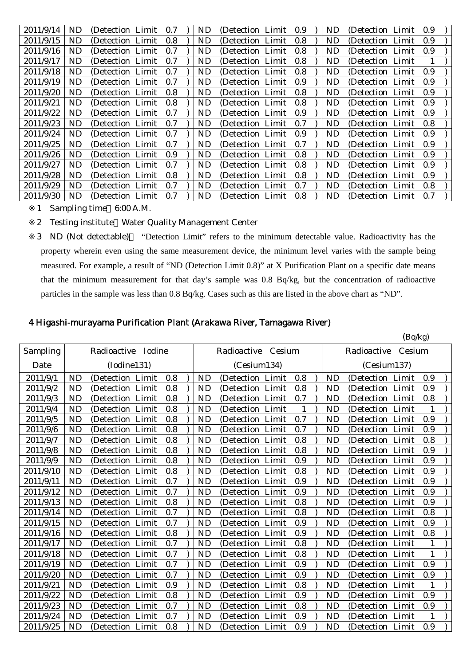| 2011/9/14 | ND. | (Detection Limit) | 0.7 | ND. | (Detection Limit) | 0.9 | ND. | (Detection Limit) | 0.9 |
|-----------|-----|-------------------|-----|-----|-------------------|-----|-----|-------------------|-----|
| 2011/9/15 | ND. | (Detection Limit) | 0.8 | ND. | (Detection Limit) | 0.8 | ND. | (Detection Limit) | 0.9 |
| 2011/9/16 | ND. | (Detection Limit) | 0.7 | ND. | (Detection Limit) | 0.8 | ND  | (Detection Limit) | 0.9 |
| 2011/9/17 | ND. | (Detection Limit) | 0.7 | ND. | (Detection Limit) | 0.8 | ND  | (Detection Limit) |     |
| 2011/9/18 | ND. | (Detection Limit) | 0.7 | ND. | (Detection Limit) | 0.8 | ND. | (Detection Limit) | 0.9 |
| 2011/9/19 | ND. | (Detection Limit) | 0.7 | ND  | (Detection Limit) | 0.9 | ND. | (Detection Limit) | 0.9 |
| 2011/9/20 | ND. | (Detection Limit) | 0.8 | ND. | (Detection Limit) | 0.8 | ND. | (Detection Limit) | 0.9 |
| 2011/9/21 | ND. | (Detection Limit) | 0.8 | ND. | (Detection Limit) | 0.8 | ND  | (Detection Limit) | 0.9 |
| 2011/9/22 | ND. | (Detection Limit) | 0.7 | ND. | (Detection Limit) | 0.9 | ND  | (Detection Limit) | 0.9 |
| 2011/9/23 | ND. | (Detection Limit) | 0.7 | ND  | (Detection Limit) | 0.7 | ND  | (Detection Limit) | 0.8 |
| 2011/9/24 | ND. | (Detection Limit) | 0.7 | ND. | (Detection Limit) | 0.9 | ND. | (Detection Limit) | 0.9 |
| 2011/9/25 | ND. | (Detection Limit) | 0.7 | ND. | (Detection Limit) | 0.7 | ND. | (Detection Limit) | 0.9 |
| 2011/9/26 | ND. | (Detection Limit) | 0.9 | ND. | (Detection Limit) | 0.8 | ND. | (Detection Limit) | 0.9 |
| 2011/9/27 | ND. | (Detection Limit) | 0.7 | ND. | (Detection Limit) | 0.8 | ND. | (Detection Limit) | 0.9 |
| 2011/9/28 | ND. | (Detection Limit) | 0.8 | ND. | (Detection Limit) | 0.8 | ND  | (Detection Limit) | 0.9 |
| 2011/9/29 | ND. | (Detection Limit) | 0.7 | ND. | (Detection Limit) | 0.7 | ND. | (Detection Limit) | 0.8 |
| 2011/9/30 | ND. | (Detection Limit) | 0.7 | ND. | (Detection Limit) | 0.8 | ND. | (Detection Limit) | 0.7 |

1 Sampling time 6:00 A.M.

2 Testing institute Water Quality Management Center

3 ND (Not detectable) "Detection Limit" refers to the minimum detectable value. Radioactivity has the property wherein even using the same measurement device, the minimum level varies with the sample being measured. For example, a result of "ND (Detection Limit 0.8)" at X Purification Plant on a specific date means that the minimum measurement for that day's sample was 0.8 Bq/kg, but the concentration of radioactive particles in the sample was less than 0.8 Bq/kg. Cases such as this are listed in the above chart as "ND".

#### 4 Higashi-murayama Purification Plant (Arakawa River, Tamagawa River)

|           |           |                    |       |     |           |                       |     |           |                   | (Bq/kg) |              |
|-----------|-----------|--------------------|-------|-----|-----------|-----------------------|-----|-----------|-------------------|---------|--------------|
| Sampling  |           | Radioactive Iodine |       |     |           | Radioactive<br>Cesium |     |           | Radioactive       | Cesium  |              |
| Date      |           | (Iodine131)        |       |     |           | (Cesium134)           |     |           | (Cesium137)       |         |              |
| 2011/9/1  | <b>ND</b> | (Detection Limit)  |       | 0.8 | ND        | (Detection Limit)     | 0.8 | ND        | (Detection Limit  |         | 0.9          |
| 2011/9/2  | <b>ND</b> | (Detection Limit   |       | 0.8 | <b>ND</b> | (Detection Limit      | 0.8 | <b>ND</b> | (Detection Limit  |         | 0.9          |
| 2011/9/3  | ND        | (Detection Limit   |       | 0.8 | <b>ND</b> | (Detection Limit      | 0.7 | <b>ND</b> | (Detection Limit  |         | 0.8          |
| 2011/9/4  | <b>ND</b> | (Detection)        | Limit | 0.8 | <b>ND</b> | (Detection Limit      |     | ND        | (Detection Limit  |         |              |
| 2011/9/5  | <b>ND</b> | (Detection Limit   |       | 0.8 | <b>ND</b> | (Detection Limit      | 0.7 | <b>ND</b> | (Detection Limit  |         | 0.9          |
| 2011/9/6  | <b>ND</b> | (Detection Limit   |       | 0.8 | <b>ND</b> | (Detection Limit      | 0.7 | <b>ND</b> | (Detection Limit  |         | 0.9          |
| 2011/9/7  | <b>ND</b> | (Detection Limit   |       | 0.8 | <b>ND</b> | (Detection Limit      | 0.8 | <b>ND</b> | (Detection Limit  |         | 0.8          |
| 2011/9/8  | <b>ND</b> | (Detection Limit   |       | 0.8 | <b>ND</b> | (Detection Limit      | 0.8 | <b>ND</b> | (Detection Limit  |         | 0.9          |
| 2011/9/9  | <b>ND</b> | (Detection)        | Limit | 0.8 | <b>ND</b> | Limit<br>(Detection   | 0.9 | <b>ND</b> | (Detection)       | Limit   | 0.9          |
| 2011/9/10 | <b>ND</b> | (Detection Limit   |       | 0.8 | <b>ND</b> | (Detection Limit      | 0.8 | <b>ND</b> | (Detection Limit  |         | 0.9          |
| 2011/9/11 | <b>ND</b> | (Detection Limit   |       | 0.7 | <b>ND</b> | (Detection Limit      | 0.9 | <b>ND</b> | (Detection Limit) |         | 0.9          |
| 2011/9/12 | <b>ND</b> | (Detection Limit   |       | 0.7 | <b>ND</b> | (Detection Limit      | 0.9 | <b>ND</b> | (Detection Limit  |         | 0.9          |
| 2011/9/13 | <b>ND</b> | (Detection Limit   |       | 0.8 | <b>ND</b> | (Detection Limit      | 0.8 | <b>ND</b> | (Detection Limit  |         | 0.9          |
| 2011/9/14 | <b>ND</b> | (Detection Limit   |       | 0.7 | <b>ND</b> | (Detection Limit      | 0.8 | <b>ND</b> | (Detection Limit  |         | 0.8          |
| 2011/9/15 | <b>ND</b> | (Detection Limit   |       | 0.7 | <b>ND</b> | Limit<br>(Detection   | 0.9 | <b>ND</b> | (Detection Limit  |         | 0.9          |
| 2011/9/16 | <b>ND</b> | (Detection)        | Limit | 0.8 | <b>ND</b> | Limit<br>(Detection)  | 0.9 | <b>ND</b> | (Detection Limit  |         | 0.8          |
| 2011/9/17 | <b>ND</b> | (Detection Limit   |       | 0.7 | <b>ND</b> | (Detection Limit      | 0.8 | <b>ND</b> | (Detection Limit  |         | 1            |
| 2011/9/18 | <b>ND</b> | (Detection Limit   |       | 0.7 | ND        | (Detection Limit      | 0.8 | ND        | (Detection Limit  |         | $\mathbf{1}$ |
| 2011/9/19 | <b>ND</b> | (Detection Limit   |       | 0.7 | <b>ND</b> | (Detection Limit      | 0.9 | <b>ND</b> | (Detection Limit  |         | 0.9          |
| 2011/9/20 | <b>ND</b> | (Detection Limit   |       | 0.7 | <b>ND</b> | (Detection Limit      | 0.9 | <b>ND</b> | (Detection Limit  |         | 0.9          |
| 2011/9/21 | <b>ND</b> | (Detection Limit   |       | 0.9 | <b>ND</b> | (Detection Limit      | 0.8 | <b>ND</b> | (Detection Limit  |         | 1            |
| 2011/9/22 | <b>ND</b> | (Detection)        | Limit | 0.8 | <b>ND</b> | Limit<br>(Detection   | 0.9 | <b>ND</b> | (Detection Limit  |         | 0.9          |
| 2011/9/23 | <b>ND</b> | (Detection Limit   |       | 0.7 | <b>ND</b> | (Detection Limit      | 0.8 | <b>ND</b> | (Detection Limit  |         | 0.9          |
| 2011/9/24 | <b>ND</b> | (Detection Limit   |       | 0.7 | <b>ND</b> | (Detection Limit      | 0.9 | <b>ND</b> | (Detection Limit  |         | 1            |
| 2011/9/25 | <b>ND</b> | (Detection Limit   |       | 0.8 | <b>ND</b> | (Detection Limit      | 0.9 | <b>ND</b> | (Detection Limit  |         | 0.9          |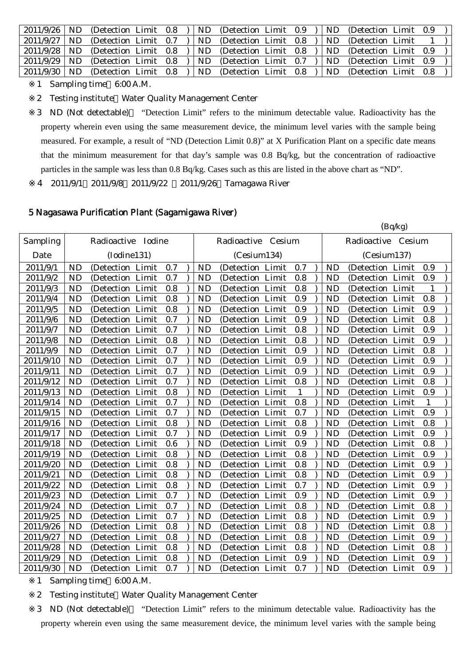| $2011/9/26$ ND |     | (Detection Limit 0.8) |  | ND. | (Detection Limit 0.9) |  | ND. | (Detection Limit 0.9) |  |  |
|----------------|-----|-----------------------|--|-----|-----------------------|--|-----|-----------------------|--|--|
| 2011/9/27      | ND. | (Detection Limit 0.7) |  | ND. | (Detection Limit 0.8) |  | ND. | (Detection Limit)     |  |  |
| 2011/9/28      | ND. | (Detection Limit 0.8) |  | ND. | (Detection Limit 0.8) |  | ND. | (Detection Limit 0.9) |  |  |
| 2011/9/29      | ND. | (Detection Limit 0.8) |  | ND. | (Detection Limit 0.7) |  | ND. | (Detection Limit 0.9) |  |  |
| 2011/9/30      | ND. | (Detection Limit 0.8) |  | ND. | (Detection Limit 0.8) |  | ND. | (Detection Limit 0.8) |  |  |

1 Sampling time 6:00 A.M.

2 Testing institute Water Quality Management Center

3 ND (Not detectable) "Detection Limit" refers to the minimum detectable value. Radioactivity has the property wherein even using the same measurement device, the minimum level varies with the sample being measured. For example, a result of "ND (Detection Limit 0.8)" at X Purification Plant on a specific date means that the minimum measurement for that day's sample was 0.8 Bq/kg, but the concentration of radioactive particles in the sample was less than 0.8 Bq/kg. Cases such as this are listed in the above chart as "ND".

4 2011/9/1 2011/9/8 2011/9/22 2011/9/26 Tamagawa River

#### 5 Nagasawa Purification Plant (Sagamigawa River)

|           |           |                    |       |     |  |           |                    |       |              |           |                    | (Bq/kg) |              |
|-----------|-----------|--------------------|-------|-----|--|-----------|--------------------|-------|--------------|-----------|--------------------|---------|--------------|
| Sampling  |           | Radioactive Iodine |       |     |  |           | Radioactive Cesium |       |              |           | Radioactive Cesium |         |              |
| Date      |           | (Iodine131)        |       |     |  |           | (Cesium134)        |       |              |           | (Cesium137)        |         |              |
| 2011/9/1  | <b>ND</b> | (Detection Limit   |       | 0.7 |  | <b>ND</b> | (Detection Limit   |       | 0.7          | <b>ND</b> | (Detection Limit   |         | 0.9          |
| 2011/9/2  | <b>ND</b> | (Detection Limit   |       | 0.7 |  | <b>ND</b> | (Detection Limit   |       | 0.8          | <b>ND</b> | (Detection Limit   |         | 0.9          |
| 2011/9/3  | <b>ND</b> | (Detection Limit   |       | 0.8 |  | <b>ND</b> | (Detection Limit   |       | 0.8          | <b>ND</b> | (Detection Limit   |         | $\mathbf{1}$ |
| 2011/9/4  | <b>ND</b> | (Detection Limit   |       | 0.8 |  | <b>ND</b> | (Detection Limit   |       | 0.9          | <b>ND</b> | (Detection Limit   |         | 0.8          |
| 2011/9/5  | <b>ND</b> | (Detection Limit)  |       | 0.8 |  | <b>ND</b> | (Detection Limit)  |       | 0.9          | <b>ND</b> | (Detection)        | Limit   | 0.9          |
| 2011/9/6  | <b>ND</b> | (Detection         | Limit | 0.7 |  | <b>ND</b> | (Detection Limit   |       | 0.9          | <b>ND</b> | (Detection Limit   |         | 0.8          |
| 2011/9/7  | <b>ND</b> | (Detection Limit   |       | 0.7 |  | <b>ND</b> | (Detection Limit   |       | 0.8          | <b>ND</b> | (Detection Limit   |         | 0.9          |
| 2011/9/8  | ND        | (Detection Limit   |       | 0.8 |  | <b>ND</b> | (Detection Limit   |       | 0.8          | <b>ND</b> | (Detection Limit   |         | 0.9          |
| 2011/9/9  | <b>ND</b> | (Detection)        | Limit | 0.7 |  | <b>ND</b> | (Detection Limit   |       | 0.9          | <b>ND</b> | (Detection         | Limit   | 0.8          |
| 2011/9/10 | <b>ND</b> | (Detection         | Limit | 0.7 |  | <b>ND</b> | (Detection Limit   |       | 0.9          | <b>ND</b> | (Detection Limit   |         | 0.9          |
| 2011/9/11 | <b>ND</b> | (Detection)        | Limit | 0.7 |  | <b>ND</b> | (Detection Limit   |       | 0.9          | <b>ND</b> | (Detection Limit   |         | 0.9          |
| 2011/9/12 | <b>ND</b> | (Detection         | Limit | 0.7 |  | <b>ND</b> | (Detection Limit   |       | 0.8          | <b>ND</b> | (Detection Limit   |         | 0.8          |
| 2011/9/13 | <b>ND</b> | (Detection Limit   |       | 0.8 |  | <b>ND</b> | (Detection Limit   |       | $\mathbf{1}$ | <b>ND</b> | (Detection Limit   |         | 0.9          |
| 2011/9/14 | <b>ND</b> | (Detection Limit   |       | 0.7 |  | <b>ND</b> | (Detection Limit   |       | 0.8          | <b>ND</b> | (Detection Limit   |         | $\mathbf{1}$ |
| 2011/9/15 | <b>ND</b> | (Detection         | Limit | 0.7 |  | <b>ND</b> | (Detection Limit   |       | 0.7          | <b>ND</b> | (Detection Limit   |         | 0.9          |
| 2011/9/16 | <b>ND</b> | (Detection Limit   |       | 0.8 |  | <b>ND</b> | (Detection Limit   |       | 0.8          | <b>ND</b> | (Detection Limit   |         | 0.8          |
| 2011/9/17 | <b>ND</b> | (Detection Limit   |       | 0.7 |  | <b>ND</b> | (Detection Limit   |       | 0.9          | <b>ND</b> | (Detection Limit   |         | 0.9          |
| 2011/9/18 | <b>ND</b> | (Detection         | Limit | 0.6 |  | <b>ND</b> | (Detection Limit   |       | 0.9          | <b>ND</b> | (Detection Limit   |         | 0.8          |
| 2011/9/19 | <b>ND</b> | (Detection Limit   |       | 0.8 |  | <b>ND</b> | (Detection Limit   |       | 0.8          | <b>ND</b> | (Detection Limit   |         | 0.9          |
| 2011/9/20 | <b>ND</b> | (Detection         | Limit | 0.8 |  | <b>ND</b> | (Detection Limit   |       | 0.8          | <b>ND</b> | (Detection Limit   |         | 0.9          |
| 2011/9/21 | <b>ND</b> | (Detection         | Limit | 0.8 |  | <b>ND</b> | (Detection Limit   |       | 0.8          | <b>ND</b> | (Detection Limit   |         | 0.9          |
| 2011/9/22 | <b>ND</b> | (Detection Limit   |       | 0.8 |  | <b>ND</b> | (Detection Limit   |       | 0.7          | <b>ND</b> | (Detection Limit   |         | 0.9          |
| 2011/9/23 | <b>ND</b> | (Detection Limit   |       | 0.7 |  | <b>ND</b> | (Detection Limit   |       | 0.9          | <b>ND</b> | (Detection Limit   |         | 0.9          |
| 2011/9/24 | <b>ND</b> | (Detection)        | Limit | 0.7 |  | <b>ND</b> | (Detection         | Limit | 0.8          | <b>ND</b> | (Detection)        | Limit   | 0.8          |
| 2011/9/25 | <b>ND</b> | (Detection)        | Limit | 0.7 |  | <b>ND</b> | (Detection Limit   |       | 0.8          | <b>ND</b> | (Detection Limit   |         | 0.9          |
| 2011/9/26 | <b>ND</b> | (Detection Limit   |       | 0.8 |  | <b>ND</b> | (Detection Limit   |       | 0.8          | <b>ND</b> | (Detection Limit   |         | 0.8          |
| 2011/9/27 | <b>ND</b> | (Detection Limit   |       | 0.8 |  | <b>ND</b> | (Detection Limit   |       | 0.8          | <b>ND</b> | (Detection Limit   |         | 0.9          |
| 2011/9/28 | <b>ND</b> | (Detection)        | Limit | 0.8 |  | <b>ND</b> | (Detection Limit   |       | 0.8          | <b>ND</b> | (Detection)        | Limit   | 0.8          |
| 2011/9/29 | <b>ND</b> | (Detection Limit   |       | 0.8 |  | <b>ND</b> | (Detection Limit   |       | 0.9          | <b>ND</b> | (Detection Limit   |         | 0.9          |
| 2011/9/30 | <b>ND</b> | (Detection Limit   |       | 0.7 |  | <b>ND</b> | (Detection Limit   |       | 0.7          | <b>ND</b> | (Detection Limit   |         | 0.9          |

1 Sampling time 6:00 A.M.

2 Testing institute Water Quality Management Center

3 ND (Not detectable) "Detection Limit" refers to the minimum detectable value. Radioactivity has the property wherein even using the same measurement device, the minimum level varies with the sample being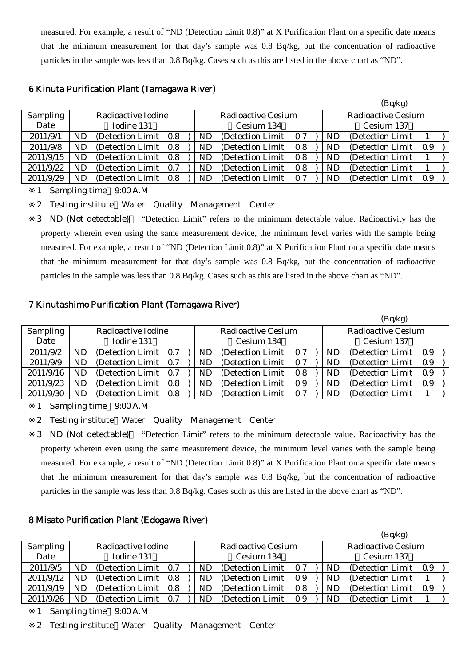measured. For example, a result of "ND (Detection Limit 0.8)" at X Purification Plant on a specific date means that the minimum measurement for that day's sample was 0.8 Bq/kg, but the concentration of radioactive particles in the sample was less than 0.8 Bq/kg. Cases such as this are listed in the above chart as "ND".

## 6 Kinuta Purification Plant (Tamagawa River)

|           |     |                       |     |     |                           |     |           | (Bq/kg)                   |       |  |
|-----------|-----|-----------------------|-----|-----|---------------------------|-----|-----------|---------------------------|-------|--|
| Sampling  |     | Radioactive Iodine    |     |     | <b>Radioactive Cesium</b> |     |           | <b>Radioactive Cesium</b> |       |  |
| Date      |     | Iodine 131            |     |     | Cesium 134                |     |           | Cesium 137                |       |  |
| 2011/9/1  | ND. | (Detection Limit 0.8) |     | ND  | (Detection Limit)         | 0.7 | ND        | (Detection Limit)         |       |  |
| 2011/9/8  | ND. | (Detection Limit 0.8) |     | ND. | (Detection Limit)         | 0.8 | <b>ND</b> | (Detection Limit 0.9)     |       |  |
| 2011/9/15 | ND. | (Detection Limit 0.8) |     | ND. | (Detection Limit)         | 0.8 | ND        | (Detection Limit)         |       |  |
| 2011/9/22 | ND. | (Detection Limit)     | 0.7 | ND  | (Detection Limit)         | 0.8 | <b>ND</b> | (Detection Limit)         |       |  |
| 2011/9/29 | ND. | (Detection Limit 0.8) |     | ND. | (Detection Limit)         | 0.7 | <b>ND</b> | (Detection Limit)         | - 0.9 |  |

1 Sampling time 9:00 A.M.

2 Testing institute Water Quality Management Center

3 ND (Not detectable) "Detection Limit" refers to the minimum detectable value. Radioactivity has the property wherein even using the same measurement device, the minimum level varies with the sample being measured. For example, a result of "ND (Detection Limit 0.8)" at X Purification Plant on a specific date means that the minimum measurement for that day's sample was 0.8 Bq/kg, but the concentration of radioactive particles in the sample was less than 0.8 Bq/kg. Cases such as this are listed in the above chart as "ND".

# 7 Kinutashimo Purification Plant (Tamagawa River)

|           |     |                       |     |    |                           |     |           | (Bq/kg)            |       |  |
|-----------|-----|-----------------------|-----|----|---------------------------|-----|-----------|--------------------|-------|--|
| Sampling  |     | Radioactive Iodine    |     |    | <b>Radioactive Cesium</b> |     |           | Radioactive Cesium |       |  |
| Date      |     | Iodine 131            |     |    | Cesium 134                |     |           | Cesium 137         |       |  |
| 2011/9/2  | ND  | (Detection Limit)     | 0.7 | ND | (Detection Limit)         | 0.7 | ND        | (Detection Limit)  | - 0.9 |  |
| 2011/9/9  | ND. | (Detection Limit 0.7) |     | ND | (Detection Limit)         | 0.7 | ND.       | (Detection Limit)  | 0.9   |  |
| 2011/9/16 | ND. | (Detection Limit)     | 0.7 | ND | (Detection Limit)         | 0.8 | <b>ND</b> | (Detection Limit)  | 0.9   |  |
| 2011/9/23 | ND  | (Detection Limit)     | 0.8 | ND | (Detection Limit)         | 0.9 | <b>ND</b> | (Detection Limit)  | -0.9  |  |
| 2011/9/30 | ND  | (Detection Limit)     | 0.8 | ND | (Detection Limit)         | 0.7 | ND.       | (Detection Limit)  |       |  |

1 Sampling time 9:00 A.M.

2 Testing institute Water Quality Management Center

3 ND (Not detectable) "Detection Limit" refers to the minimum detectable value. Radioactivity has the property wherein even using the same measurement device, the minimum level varies with the sample being measured. For example, a result of "ND (Detection Limit 0.8)" at X Purification Plant on a specific date means that the minimum measurement for that day's sample was 0.8 Bq/kg, but the concentration of radioactive particles in the sample was less than 0.8 Bq/kg. Cases such as this are listed in the above chart as "ND".

# 8 Misato Purification Plant (Edogawa River)

|           |            |                    |     |  |    |                           |     |           | (Bq/kg)                   |     |  |
|-----------|------------|--------------------|-----|--|----|---------------------------|-----|-----------|---------------------------|-----|--|
| Sampling  |            | Radioactive Iodine |     |  |    | <b>Radioactive Cesium</b> |     |           | <b>Radioactive Cesium</b> |     |  |
| Date      | Iodine 131 |                    |     |  |    | Cesium 134                |     |           | Cesium 137                |     |  |
| 2011/9/5  | ND         | (Detection Limit)  | 0.7 |  | ND | (Detection Limit)         | 0.7 | ND.       | (Detection Limit)         | 0.9 |  |
| 2011/9/12 | ND         | (Detection Limit)  | 0.8 |  | ND | (Detection Limit)         | 0.9 | ND.       | (Detection Limit)         |     |  |
| 2011/9/19 | ND         | (Detection Limit)  | 0.8 |  | ND | (Detection Limit)         | 0.8 | <b>ND</b> | (Detection Limit)         | 0.9 |  |
| 2011/9/26 | ND.        | (Detection Limit)  | 0.7 |  | ND | (Detection Limit)         | 0.9 | <b>ND</b> | (Detection Limit)         |     |  |

1 Sampling time 9:00 A.M.

2 Testing institute Water Quality Management Center